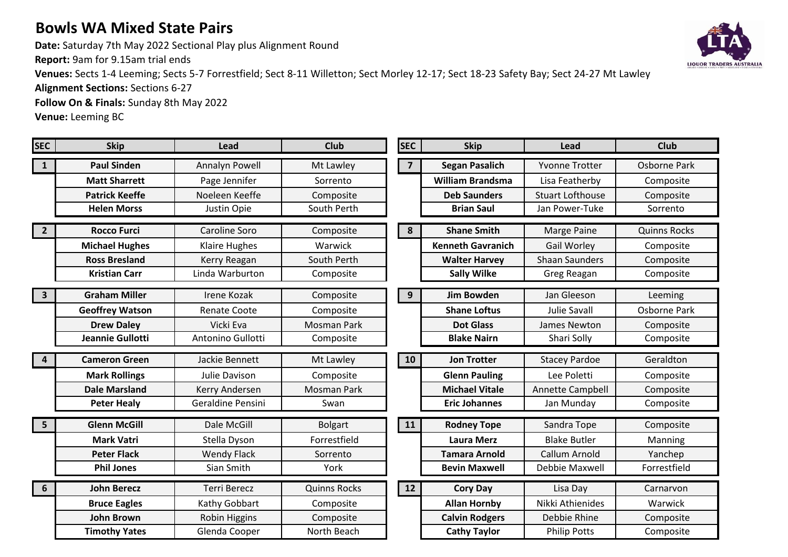## **Bowls WA Mixed State Pairs**

**Date:** Saturday 7th May 2022 Sectional Play plus Alignment Round

**Report:** 9am for 9.15am trial ends

**Venues:** Sects 1-4 Leeming; Sects 5-7 Forrestfield; Sect 8-11 Willetton; Sect Morley 12-17; Sect 18-23 Safety Bay; Sect 24-27 Mt Lawley

**Alignment Sections:** Sections 6-27

**Follow On & Finals:** Sunday 8th May 2022

**Venue:** Leeming BC

| <b>SEC</b>                 | <b>Skip</b>            | Lead                | <b>Club</b>         | <b>SEC</b>     | <b>Skip</b>              | Lead                    | <b>Club</b>         |
|----------------------------|------------------------|---------------------|---------------------|----------------|--------------------------|-------------------------|---------------------|
| $\mathbf{1}$               | <b>Paul Sinden</b>     | Annalyn Powell      | Mt Lawley           | $\overline{7}$ | <b>Segan Pasalich</b>    | <b>Yvonne Trotter</b>   | <b>Osborne Park</b> |
|                            | <b>Matt Sharrett</b>   | Page Jennifer       | Sorrento            |                | <b>William Brandsma</b>  | Lisa Featherby          | Composite           |
|                            | <b>Patrick Keeffe</b>  | Noeleen Keeffe      | Composite           |                | <b>Deb Saunders</b>      | <b>Stuart Lofthouse</b> | Composite           |
|                            | <b>Helen Morss</b>     | Justin Opie         | South Perth         |                | <b>Brian Saul</b>        | Jan Power-Tuke          | Sorrento            |
| $\boxed{2}$                | <b>Rocco Furci</b>     | Caroline Soro       | Composite           | 8              | <b>Shane Smith</b>       | Marge Paine             | <b>Quinns Rocks</b> |
|                            | <b>Michael Hughes</b>  | Klaire Hughes       | Warwick             |                | <b>Kenneth Gavranich</b> | Gail Worley             | Composite           |
|                            | <b>Ross Bresland</b>   | Kerry Reagan        | South Perth         |                | <b>Walter Harvey</b>     | <b>Shaan Saunders</b>   | Composite           |
|                            | <b>Kristian Carr</b>   | Linda Warburton     | Composite           |                | <b>Sally Wilke</b>       | Greg Reagan             | Composite           |
| $\vert$ 3                  | <b>Graham Miller</b>   | Irene Kozak         | Composite           | 9              | <b>Jim Bowden</b>        | Jan Gleeson             | Leeming             |
|                            | <b>Geoffrey Watson</b> | <b>Renate Coote</b> | Composite           |                | <b>Shane Loftus</b>      | <b>Julie Savall</b>     | <b>Osborne Park</b> |
|                            | <b>Drew Daley</b>      | Vicki Eva           | <b>Mosman Park</b>  |                | <b>Dot Glass</b>         | James Newton            | Composite           |
|                            | Jeannie Gullotti       | Antonino Gullotti   | Composite           |                | <b>Blake Nairn</b>       | Shari Solly             | Composite           |
|                            |                        |                     |                     |                |                          |                         |                     |
| $\overline{\mathbf{4}}$    | <b>Cameron Green</b>   | Jackie Bennett      | Mt Lawley           | 10             | <b>Jon Trotter</b>       | <b>Stacey Pardoe</b>    | Geraldton           |
|                            | <b>Mark Rollings</b>   | Julie Davison       | Composite           |                | <b>Glenn Pauling</b>     | Lee Poletti             | Composite           |
|                            | <b>Dale Marsland</b>   | Kerry Andersen      | <b>Mosman Park</b>  |                | <b>Michael Vitale</b>    | Annette Campbell        | Composite           |
|                            | <b>Peter Healy</b>     | Geraldine Pensini   | Swan                |                | <b>Eric Johannes</b>     | Jan Munday              | Composite           |
| $\overline{\phantom{0}}$ 5 | <b>Glenn McGill</b>    | Dale McGill         | <b>Bolgart</b>      | 11             | <b>Rodney Tope</b>       | Sandra Tope             | Composite           |
|                            | <b>Mark Vatri</b>      | Stella Dyson        | Forrestfield        |                | <b>Laura Merz</b>        | <b>Blake Butler</b>     | Manning             |
|                            | <b>Peter Flack</b>     | <b>Wendy Flack</b>  | Sorrento            |                | <b>Tamara Arnold</b>     | Callum Arnold           | Yanchep             |
|                            | <b>Phil Jones</b>      | Sian Smith          | York                |                | <b>Bevin Maxwell</b>     | Debbie Maxwell          | Forrestfield        |
| $6\overline{6}$            | <b>John Berecz</b>     | <b>Terri Berecz</b> | <b>Quinns Rocks</b> | 12             | <b>Cory Day</b>          | Lisa Day                | Carnarvon           |
|                            | <b>Bruce Eagles</b>    | Kathy Gobbart       | Composite           |                | <b>Allan Hornby</b>      | Nikki Athienides        | Warwick             |
|                            | <b>John Brown</b>      | Robin Higgins       | Composite           |                | <b>Calvin Rodgers</b>    | Debbie Rhine            | Composite           |
|                            | <b>Timothy Yates</b>   | Glenda Cooper       | North Beach         |                | <b>Cathy Taylor</b>      | <b>Philip Potts</b>     | Composite           |